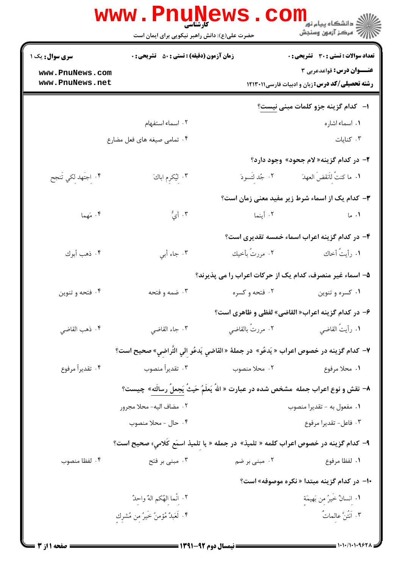|                                    | <b>www.Pnunews</b><br><b>کارشناسی</b> ۔<br>حضرت علی(ع): دانش راهبر نیکویی برای ایمان است |                  | ڪ دانشڪاه پيا <sub>م</sub> نور<br><mark>√</mark> مرڪز آزمون وسنڊش                          |
|------------------------------------|------------------------------------------------------------------------------------------|------------------|--------------------------------------------------------------------------------------------|
| <b>سری سوال :</b> یک ۱             | <b>زمان آزمون (دقیقه) : تستی : 50 ٪ تشریحی : 0</b>                                       |                  | <b>تعداد سوالات : تستي : 30 ٪ تشريحي : 0</b>                                               |
| www.PnuNews.com<br>www.PnuNews.net |                                                                                          |                  | <b>عنـــوان درس:</b> قواعدعربي ۳<br><b>رشته تحصیلی/کد درس: زبان و ادبیات فارسی ۱۲۱۳۰۱۱</b> |
|                                    |                                                                                          |                  | ا–۔ کدام گزینه جزو کلمات مبنی نیست؟                                                        |
|                                    | ۰۲ اسماء استفهام                                                                         |                  | ٠١ اسماء اشاره                                                                             |
|                                    | ۰۴ تمامی صیغه های فعل مضارع                                                              |                  | ۰۳ کنایات                                                                                  |
|                                    |                                                                                          |                  | ۲- در کدام گزینه« لام جحود» وجود دارد؟                                                     |
| ۴. إجتَهد لِكي تَنجح               | ۰۳ لِیُکرِم اباكَ                                                                        |                  | ١. ما كنتُ للَّنقضَ العهدَ مسمح ٢. جُد لتَسودَ                                             |
|                                    |                                                                                          |                  | ۳- کدام یک از اسماء شرط زیر مفید معنی زمان است؟                                            |
| ۰۴ مَهما                           | ۰۳ أيُّ                                                                                  | ٢. أينما         | ۰۱ ما                                                                                      |
|                                    |                                                                                          |                  | ۴- در کدام گزینه اعراب اسماء خمسه تقدیری است؟                                              |
| ۴. ذهب أبوك                        | ۰۳ جاء أبي                                                                               | ٢. مررتُ بأخيك   | ١. رأيتُ أخاك                                                                              |
|                                    |                                                                                          |                  | ۵– اسماء غیر منصرف، کدام یک از حرکات اعراب را می پذیرند؟                                   |
| ۰۴ فتحه و تنوين                    | ۰۳ ضمه و فتحه                                                                            | ۰۲ فتحه و کسره   | ۰۱ کسره و تنوین                                                                            |
|                                    |                                                                                          |                  | ۶- در کدام گزینه اعراب« القاضی» لفظی و ظاهری است؟                                          |
| ۰۴ ذهب القاضي                      | ۰۳ جاء القاضي                                                                            | ۰۲ مررتُ بالقاضي | ٠١ رأيتُ القاضي                                                                            |
|                                    | ٧− كدام گزينه در خصوص اعراب « يَدعُو»  در جملة « القاضي يَدعُو الي التّراضي» صحيح است؟   |                  |                                                                                            |
| ۰۴ تقديراً مرفوع                   | ۰۳ تقديراً منصوب                                                                         | ۲. محلا منصوب    | ٠١. محلا مرفوع                                                                             |
|                                    | ٨– نقش و نوع اعراب جمله  مشخص شده در عبارت « اللهُ يَعلَمُ حَيثُ يَجعلُ رسالَته»  چيست؟  |                  |                                                                                            |
|                                    | ٢. مضاف اليه- محلا مجرور                                                                 |                  | ۰۱ مفعول به - تقدیرا منصوب                                                                 |
|                                    | ۰۴ حال - محلا منصوب                                                                      |                  | ۰۳ فاعل- تقديرا مرفوع                                                                      |
|                                    | ۹–  کدام گزینه در خصوص اعراب کلمه « تلمیذ»  در جمله « یا تلمیذ اسمَع کلامیِ» صحیح است؟   |                  |                                                                                            |
| ۰۴ لفظا منصوب                      | ۰۳ مبنی بر فتح                                                                           | ۰۲ مبنی بر ضم    | ٠١. لفظا مرفوع                                                                             |
|                                    |                                                                                          |                  | +ا- در کدام گزینه مبتدا « نکره موصوفه» است؟                                                |
|                                    | ٢. إنَّما الهُكم الهُ واحِدٌ                                                             |                  | ٠١ انسانٌ خَيرٌ مِن بَهيمَةٍ                                                               |
|                                    | ۴. لَعَبلٌ مُؤمنٌ خَيرٌ من مُشْرِك                                                       |                  | ۰۳ اَنتُنَّ عالماتٌ                                                                        |
|                                    |                                                                                          |                  |                                                                                            |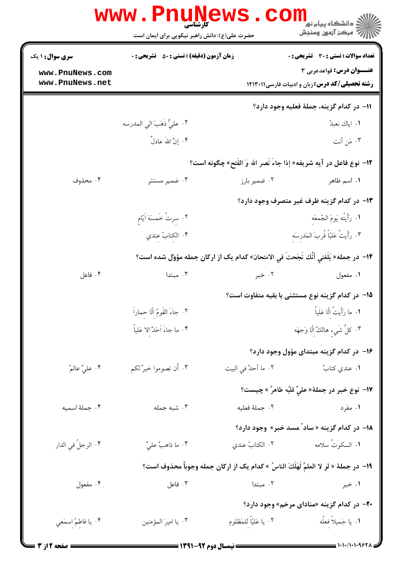|                                    | <b>www.PnuNews</b><br><b>کارشناسی</b><br>حضرت علی(ع): دانش راهبر نیکویی برای ایمان است |                        | ≦ دانشگاه پيام نو <mark>ر</mark><br>رُ⁄ کرڪز آزمون وسنڊش                                   |
|------------------------------------|----------------------------------------------------------------------------------------|------------------------|--------------------------------------------------------------------------------------------|
| <b>سری سوال :</b> ۱ یک             | <b>زمان آزمون (دقیقه) : تستی : 50 ٪ تشریحی : 0</b>                                     |                        | <b>تعداد سوالات : تستی : 30 ٪ تشریحی : 0</b>                                               |
| www.PnuNews.com<br>www.PnuNews.net |                                                                                        |                        | <b>عنـــوان درس:</b> قواعدعربي ۳<br><b>رشته تحصیلی/کد درس:</b> زبان و ادبیات فارسی ۱۲۱۳۰۱۱ |
|                                    |                                                                                        |                        | 11– در كدام گزينه، جملهٔ فعليه وجود دارد؟                                                  |
|                                    | ٢. عليٌّ ذَهَبَ الى المدرسه                                                            |                        | ١. اياك نعبدُ                                                                              |
|                                    | ۴. إِنَّ اللهَ عادلٌ                                                                   |                        | ۰۳ مَن أنت                                                                                 |
|                                    |                                                                                        |                        | 1۲- نوع فاعل در آيه شريفه« إذا جاءَ نَصر الله وَ الفَتح» چگونه است؟                        |
| ۰۴ محذوف                           | ۰۳ ضمیر مستتر                                                                          | ۰۲ ضمیر بارز           | ۰۱ اسم ظاهر                                                                                |
|                                    |                                                                                        |                        | ۱۳– در کدام گزینه ظرف غیر متصرف وجود دارد؟                                                 |
|                                    | ٠٢ سِرتُ خَمسَهَ اَيّام                                                                |                        | ١. رَأَيتُه يَومَ الجُمعَه                                                                 |
|                                    | ۰۴ الكتابُ عندي                                                                        |                        | ٣. رَأَيتُ عَليّاً قُربَ المَدرسَه                                                         |
|                                    | ۱۴− در جمله« بَلَغنى أنَّك نَجَحتَ في الامتحان» كدام يک از ارکان جمله مؤوّل شده است؟   |                        |                                                                                            |
| ۰۴ فاعل                            | ۰۳ مبتدا                                                                               | ۰۲ خبر                 | ۰۱ مفعول                                                                                   |
|                                    |                                                                                        |                        | ۱۵− در کدام گزینه نوع مستثنی با بقیه متفاوت است؟                                           |
|                                    | ٢. جاءَ القَومُ إلّا حِماراً                                                           |                        | ١. ما رَأَيتُ اِلّا عَلياً                                                                 |
|                                    | ۰۴ ما جاءَ اَحَدٌ إلا عَلياً                                                           |                        | ٣. كلُّ شَيءٍ هالكٌ إِلَّا وَجهَه                                                          |
|                                    |                                                                                        |                        | ۱۶– در کدام گزینه مبتدای مؤول وجود دارد؟                                                   |
| ۰۴ عليٌّ عالمٌ                     | ۰۳ أن تصوموا خيرٌ لکم                                                                  | ٠٢ ما أحدٌ في البيت    | ۰۱ عندي کتابٌ                                                                              |
|                                    |                                                                                        |                        | ١٧- نوع خبر در جملهٔ« عليٌّ قلبُه طاهرٌ » چيست؟                                            |
| ۰۴ جملهٔ اسمیه                     | ۰۳ شبه جمله                                                                            |                        | ٠٢ جملة فعليه<br>۰۱ مفرد                                                                   |
|                                    |                                                                                        |                        | <b>۱۸</b> – در کدام گزینه « ساد ٌ مسد خبر» وجود دارد؟                                      |
| ۴. الرجلُ في الدار                 | ٠٣ ما ذاهبٌ عليٌ                                                                       | ٢. الكتابُ عندي        | <b>۱.</b> السكوتَ سلامه                                                                    |
|                                    | 1۹− در جملهٔ « لو لا العلمُ لَهَلَكَ الناسُ » كدام يک از اركان جمله وجوباً محذوف است؟  |                        |                                                                                            |
| ۰۴ مفعول                           | ۰۳ فاعل                                                                                | ۰۲ مبتدا               | ۰۱ خبر                                                                                     |
|                                    |                                                                                        |                        | <b>۲۰</b> - در کدام گزینه «منادای مرخم» وجود دارد؟                                         |
| ۰۴ يا فاطمُ اسمَعي                 | ۰۳ يا اميرَ المؤمنين                                                                   | ٠٢ يا عَليّاً للمَظلوم | ۰۱ يا جَميلاً فعلُه                                                                        |
|                                    | ـــــــــ نیمسال ده م ۹۲-۱۳۹۱ ــــــ                                                   |                        | = 1・1・/1・1・9۶۲۸                                                                            |